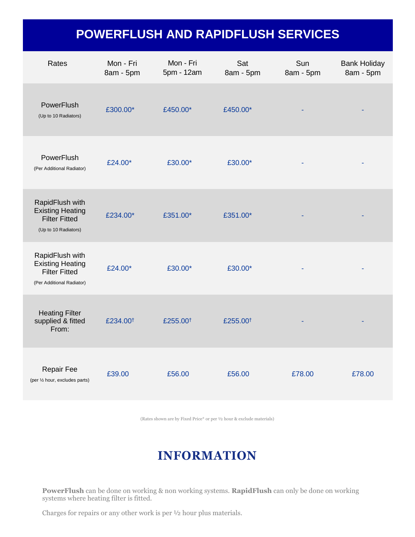## **POWERFLUSH AND RAPIDFLUSH SERVICES**

| Rates                                                                                           | Mon - Fri<br>8am - 5pm | Mon - Fri<br>5pm - 12am | Sat<br>8am - 5pm     | Sun<br>8am - 5pm | <b>Bank Holiday</b><br>8am - 5pm |
|-------------------------------------------------------------------------------------------------|------------------------|-------------------------|----------------------|------------------|----------------------------------|
| PowerFlush<br>(Up to 10 Radiators)                                                              | £300.00*               | £450.00*                | £450.00*             |                  |                                  |
| PowerFlush<br>(Per Additional Radiator)                                                         | £24.00*                | £30.00*                 | £30.00*              |                  |                                  |
| RapidFlush with<br><b>Existing Heating</b><br><b>Filter Fitted</b><br>(Up to 10 Radiators)      | £234.00*               | £351.00*                | £351.00*             |                  |                                  |
| RapidFlush with<br><b>Existing Heating</b><br><b>Filter Fitted</b><br>(Per Additional Radiator) | £24.00*                | £30.00*                 | £30.00*              |                  |                                  |
| <b>Heating Filter</b><br>supplied & fitted<br>From:                                             | £234.00 <sup>t</sup>   | £255.00 <sup>t</sup>    | £255.00 <sup>+</sup> |                  |                                  |
| <b>Repair Fee</b><br>(per 1/2 hour, excludes parts)                                             | £39.00                 | £56.00                  | £56.00               | £78.00           | £78.00                           |

(Rates shown are by Fixed Price\* or per ½ hour & exclude materials)

## **INFORMATION**

**PowerFlush** can be done on working & non working systems. **RapidFlush** can only be done on working systems where heating filter is fitted.

Charges for repairs or any other work is per ½ hour plus materials.